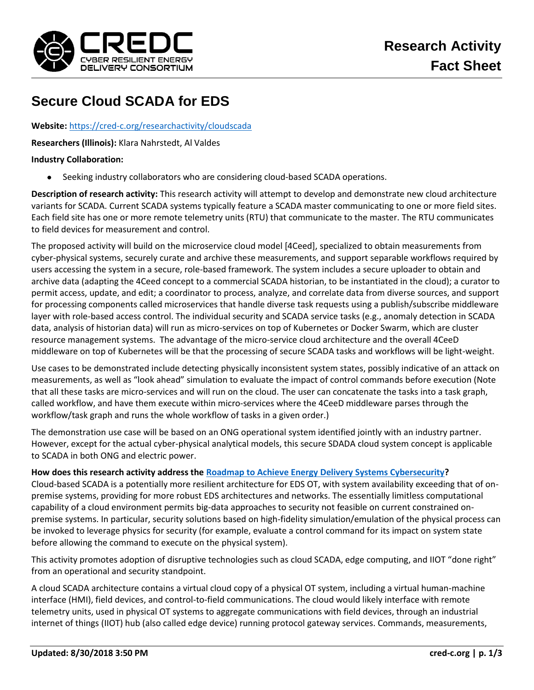

## **Secure Cloud SCADA for EDS**

**Website:** <https://cred-c.org/researchactivity/cloudscada>

**Researchers (Illinois):** Klara Nahrstedt, Al Valdes

## **Industry Collaboration:**

Seeking industry collaborators who are considering cloud-based SCADA operations.

**Description of research activity:** This research activity will attempt to develop and demonstrate new cloud architecture variants for SCADA. Current SCADA systems typically feature a SCADA master communicating to one or more field sites. Each field site has one or more remote telemetry units (RTU) that communicate to the master. The RTU communicates to field devices for measurement and control.

The proposed activity will build on the microservice cloud model [4Ceed], specialized to obtain measurements from cyber-physical systems, securely curate and archive these measurements, and support separable workflows required by users accessing the system in a secure, role-based framework. The system includes a secure uploader to obtain and archive data (adapting the 4Ceed concept to a commercial SCADA historian, to be instantiated in the cloud); a curator to permit access, update, and edit; a coordinator to process, analyze, and correlate data from diverse sources, and support for processing components called microservices that handle diverse task requests using a publish/subscribe middleware layer with role-based access control. The individual security and SCADA service tasks (e.g., anomaly detection in SCADA data, analysis of historian data) will run as micro-services on top of Kubernetes or Docker Swarm, which are cluster resource management systems. The advantage of the micro-service cloud architecture and the overall 4CeeD middleware on top of Kubernetes will be that the processing of secure SCADA tasks and workflows will be light-weight.

Use cases to be demonstrated include detecting physically inconsistent system states, possibly indicative of an attack on measurements, as well as "look ahead" simulation to evaluate the impact of control commands before execution (Note that all these tasks are micro-services and will run on the cloud. The user can concatenate the tasks into a task graph, called workflow, and have them execute within micro-services where the 4CeeD middleware parses through the workflow/task graph and runs the whole workflow of tasks in a given order.)

The demonstration use case will be based on an ONG operational system identified jointly with an industry partner. However, except for the actual cyber-physical analytical models, this secure SDADA cloud system concept is applicable to SCADA in both ONG and electric power.

## **How does this research activity address the [Roadmap to Achieve Energy Delivery Systems Cybersecurity?](https://energy.gov/oe/downloads/roadmap-achieve-energy-delivery-systems-cybersecurity-2011)**

Cloud-based SCADA is a potentially more resilient architecture for EDS OT, with system availability exceeding that of onpremise systems, providing for more robust EDS architectures and networks. The essentially limitless computational capability of a cloud environment permits big-data approaches to security not feasible on current constrained onpremise systems. In particular, security solutions based on high-fidelity simulation/emulation of the physical process can be invoked to leverage physics for security (for example, evaluate a control command for its impact on system state before allowing the command to execute on the physical system).

This activity promotes adoption of disruptive technologies such as cloud SCADA, edge computing, and IIOT "done right" from an operational and security standpoint.

A cloud SCADA architecture contains a virtual cloud copy of a physical OT system, including a virtual human-machine interface (HMI), field devices, and control-to-field communications. The cloud would likely interface with remote telemetry units, used in physical OT systems to aggregate communications with field devices, through an industrial internet of things (IIOT) hub (also called edge device) running protocol gateway services. Commands, measurements,